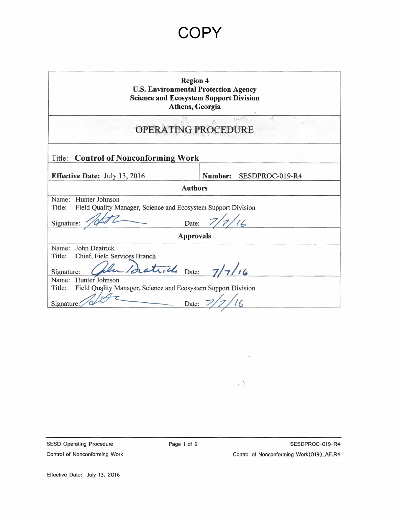| <b>Region 4</b><br><b>U.S. Environmental Protection Agency</b><br><b>Science and Ecosystem Support Division</b><br>Athens, Georgia |                            |  |  |  |
|------------------------------------------------------------------------------------------------------------------------------------|----------------------------|--|--|--|
| OPERATING PROCEDURE                                                                                                                |                            |  |  |  |
| Title: Control of Nonconforming Work                                                                                               |                            |  |  |  |
| <b>Effective Date:</b> July 13, 2016                                                                                               | Number:<br>SESDPROC-019-R4 |  |  |  |
| <b>Authors</b>                                                                                                                     |                            |  |  |  |
| Hunter Johnson<br>Name:<br>Title:<br>Field Quality Manager, Science and Ecosystem Support Division<br>Signature:                   | Date: $7/7/16$             |  |  |  |
| <b>Approvals</b>                                                                                                                   |                            |  |  |  |
| John Deatrick<br>Name:<br>Chief, Field Services Branch<br>Title:<br>Saturele Date: 7/7/16<br>Signature:                            |                            |  |  |  |
| Name:<br>Hunter Johnson<br>Title:<br>Field Quality Manager, Science and Ecosystem Support Division<br>Signature<br>Date:           |                            |  |  |  |

SESD Operating Procedure Control of Nonconforming Work  $\mathcal{L}$ 

. .  $\uparrow$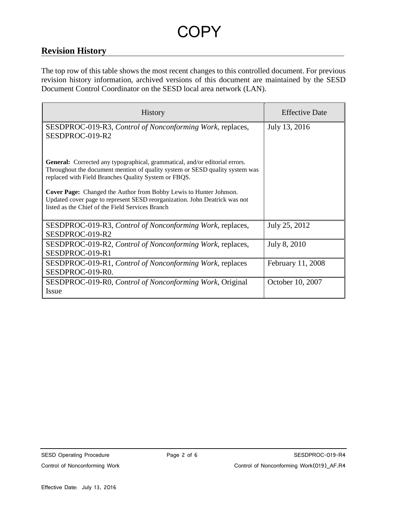# **Revision History**

The top row of this table shows the most recent changes to this controlled document. For previous revision history information, archived versions of this document are maintained by the SESD Document Control Coordinator on the SESD local area network (LAN).

| <b>History</b>                                                                                                                                                                                                      | <b>Effective Date</b> |
|---------------------------------------------------------------------------------------------------------------------------------------------------------------------------------------------------------------------|-----------------------|
| SESDPROC-019-R3, Control of Nonconforming Work, replaces,<br>SESDPROC-019-R2                                                                                                                                        | July 13, 2016         |
| General: Corrected any typographical, grammatical, and/or editorial errors.<br>Throughout the document mention of quality system or SESD quality system was<br>replaced with Field Branches Quality System or FBQS. |                       |
| <b>Cover Page:</b> Changed the Author from Bobby Lewis to Hunter Johnson.<br>Updated cover page to represent SESD reorganization. John Deatrick was not<br>listed as the Chief of the Field Services Branch         |                       |
| SESDPROC-019-R3, Control of Nonconforming Work, replaces,<br>SESDPROC-019-R2                                                                                                                                        | July 25, 2012         |
| SESDPROC-019-R2, Control of Nonconforming Work, replaces,<br>SESDPROC-019-R1                                                                                                                                        | July 8, 2010          |
| SESDPROC-019-R1, Control of Nonconforming Work, replaces<br>SESDPROC-019-R0.                                                                                                                                        | February 11, 2008     |
| SESDPROC-019-R0, Control of Nonconforming Work, Original<br>Issue                                                                                                                                                   | October 10, 2007      |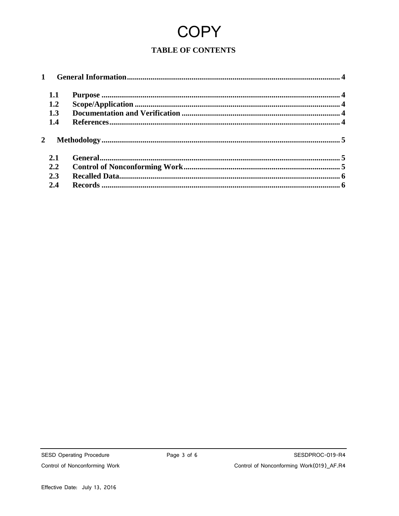### **TABLE OF CONTENTS**

|  | 1.1 |  |  |
|--|-----|--|--|
|  | 1.2 |  |  |
|  | 1.3 |  |  |
|  | 1.4 |  |  |
|  |     |  |  |
|  | 2.1 |  |  |
|  | 2.2 |  |  |
|  | 2.3 |  |  |
|  | 2.4 |  |  |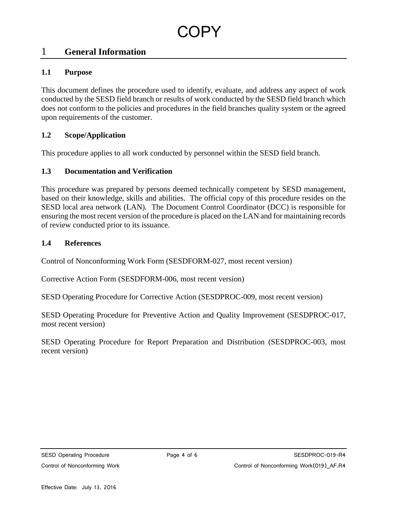## <span id="page-3-0"></span>1 **General Information**

#### <span id="page-3-1"></span>**1.1 Purpose**

This document defines the procedure used to identify, evaluate, and address any aspect of work conducted by the SESD field branch or results of work conducted by the SESD field branch which does not conform to the policies and procedures in the field branches quality system or the agreed upon requirements of the customer.

#### <span id="page-3-2"></span>**1.2 Scope/Application**

This procedure applies to all work conducted by personnel within the SESD field branch.

#### <span id="page-3-3"></span>**1.3 Documentation and Verification**

This procedure was prepared by persons deemed technically competent by SESD management, based on their knowledge, skills and abilities. The official copy of this procedure resides on the SESD local area network (LAN). The Document Control Coordinator (DCC) is responsible for ensuring the most recent version of the procedure is placed on the LAN and for maintaining records of review conducted prior to its issuance.

#### <span id="page-3-4"></span>**1.4 References**

Control of Nonconforming Work Form (SESDFORM-027, most recent version)

Corrective Action Form (SESDFORM-006, most recent version)

SESD Operating Procedure for Corrective Action (SESDPROC-009, most recent version)

SESD Operating Procedure for Preventive Action and Quality Improvement (SESDPROC-017, most recent version)

SESD Operating Procedure for Report Preparation and Distribution (SESDPROC-003, most recent version)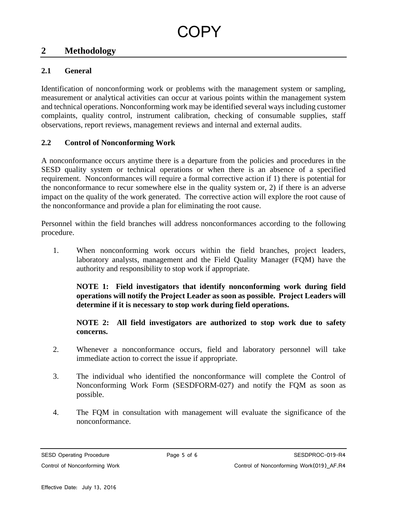### <span id="page-4-0"></span>**2 Methodology**

#### <span id="page-4-1"></span>**2.1 General**

Identification of nonconforming work or problems with the management system or sampling, measurement or analytical activities can occur at various points within the management system and technical operations. Nonconforming work may be identified several ways including customer complaints, quality control, instrument calibration, checking of consumable supplies, staff observations, report reviews, management reviews and internal and external audits.

#### <span id="page-4-2"></span>**2.2 Control of Nonconforming Work**

A nonconformance occurs anytime there is a departure from the policies and procedures in the SESD quality system or technical operations or when there is an absence of a specified requirement. Nonconformances will require a formal corrective action if 1) there is potential for the nonconformance to recur somewhere else in the quality system or, 2) if there is an adverse impact on the quality of the work generated. The corrective action will explore the root cause of the nonconformance and provide a plan for eliminating the root cause.

Personnel within the field branches will address nonconformances according to the following procedure.

1. When nonconforming work occurs within the field branches, project leaders, laboratory analysts, management and the Field Quality Manager (FQM) have the authority and responsibility to stop work if appropriate.

**NOTE 1: Field investigators that identify nonconforming work during field operations will notify the Project Leader as soon as possible. Project Leaders will determine if it is necessary to stop work during field operations.**

**NOTE 2: All field investigators are authorized to stop work due to safety concerns.**

- 2. Whenever a nonconformance occurs, field and laboratory personnel will take immediate action to correct the issue if appropriate.
- 3. The individual who identified the nonconformance will complete the Control of Nonconforming Work Form (SESDFORM-027) and notify the FQM as soon as possible.
- 4. The FQM in consultation with management will evaluate the significance of the nonconformance.